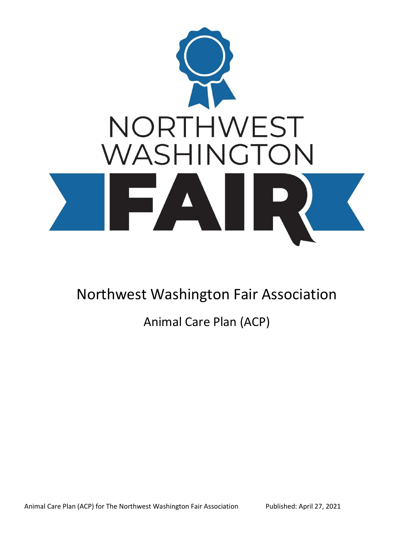

Northwest Washington Fair Association

Animal Care Plan (ACP)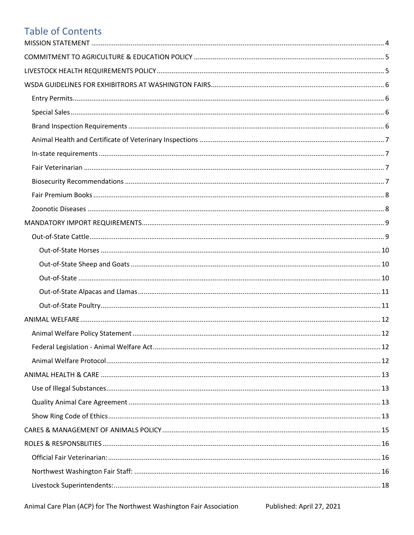## **Table of Contents**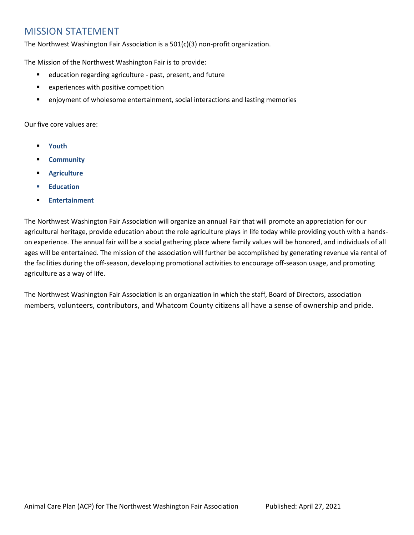## <span id="page-3-0"></span>MISSION STATEMENT

The Northwest Washington Fair Association is a 501(c)(3) non-profit organization.

The Mission of the Northwest Washington Fair is to provide:

- education regarding agriculture past, present, and future
- experiences with positive competition
- **•** enjoyment of wholesome entertainment, social interactions and lasting memories

Our five core values are:

- **Youth**
- **Community**
- **Agriculture**
- **Education**
- **Entertainment**

The Northwest Washington Fair Association will organize an annual Fair that will promote an appreciation for our agricultural heritage, provide education about the role agriculture plays in life today while providing youth with a handson experience. The annual fair will be a social gathering place where family values will be honored, and individuals of all ages will be entertained. The mission of the association will further be accomplished by generating revenue via rental of the facilities during the off-season, developing promotional activities to encourage off-season usage, and promoting agriculture as a way of life.

The Northwest Washington Fair Association is an organization in which the staff, Board of Directors, association members, volunteers, contributors, and Whatcom County citizens all have a sense of ownership and pride.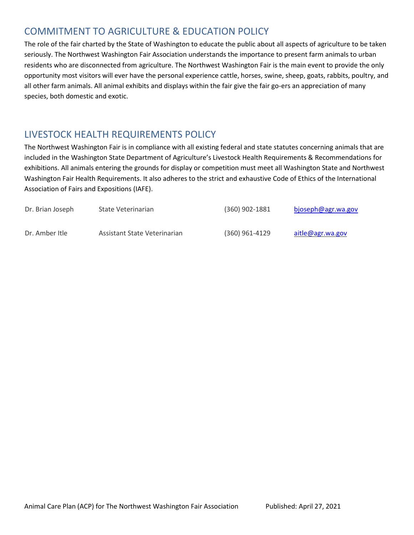## <span id="page-4-0"></span>COMMITMENT TO AGRICULTURE & EDUCATION POLICY

The role of the fair charted by the State of Washington to educate the public about all aspects of agriculture to be taken seriously. The Northwest Washington Fair Association understands the importance to present farm animals to urban residents who are disconnected from agriculture. The Northwest Washington Fair is the main event to provide the only opportunity most visitors will ever have the personal experience cattle, horses, swine, sheep, goats, rabbits, poultry, and all other farm animals. All animal exhibits and displays within the fair give the fair go-ers an appreciation of many species, both domestic and exotic.

## <span id="page-4-1"></span>LIVESTOCK HEALTH REQUIREMENTS POLICY

The Northwest Washington Fair is in compliance with all existing federal and state statutes concerning animals that are included in the Washington State Department of Agriculture's Livestock Health Requirements & Recommendations for exhibitions. All animals entering the grounds for display or competition must meet all Washington State and Northwest Washington Fair Health Requirements. It also adheres to the strict and exhaustive Code of Ethics of the International Association of Fairs and Expositions (IAFE).

| Dr. Brian Joseph | State Veterinarian           | $(360)$ 902-1881 | bjoseph@agr.wa.gov |
|------------------|------------------------------|------------------|--------------------|
| Dr. Amber Itle   | Assistant State Veterinarian | $(360)$ 961-4129 | aitle@agr.wa.gov   |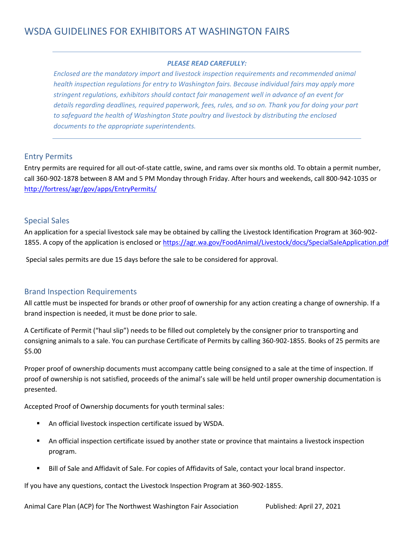#### *PLEASE READ CAREFULLY:*

<span id="page-5-0"></span>*Enclosed are the mandatory import and livestock inspection requirements and recommended animal health inspection regulations for entry to Washington fairs. Because individual fairs may apply more stringent regulations, exhibitors should contact fair management well in advance of an event for details regarding deadlines, required paperwork, fees, rules, and so on. Thank you for doing your part to safeguard the health of Washington State poultry and livestock by distributing the enclosed documents to the appropriate superintendents.*

#### <span id="page-5-1"></span>Entry Permits

Entry permits are required for all out-of-state cattle, swine, and rams over six months old. To obtain a permit number, call 360-902-1878 between 8 AM and 5 PM Monday through Friday. After hours and weekends, call 800-942-1035 or <http://fortress/agr/gov/apps/EntryPermits/>

#### <span id="page-5-2"></span>Special Sales

An application for a special livestock sale may be obtained by calling the Livestock Identification Program at 360-902- 1855. A copy of the application is enclosed or<https://agr.wa.gov/FoodAnimal/Livestock/docs/SpecialSaleApplication.pdf>

Special sales permits are due 15 days before the sale to be considered for approval.

#### <span id="page-5-3"></span>Brand Inspection Requirements

All cattle must be inspected for brands or other proof of ownership for any action creating a change of ownership. If a brand inspection is needed, it must be done prior to sale.

A Certificate of Permit ("haul slip") needs to be filled out completely by the consigner prior to transporting and consigning animals to a sale. You can purchase Certificate of Permits by calling 360-902-1855. Books of 25 permits are \$5.00

Proper proof of ownership documents must accompany cattle being consigned to a sale at the time of inspection. If proof of ownership is not satisfied, proceeds of the animal's sale will be held until proper ownership documentation is presented.

Accepted Proof of Ownership documents for youth terminal sales:

- An official livestock inspection certificate issued by WSDA.
- An official inspection certificate issued by another state or province that maintains a livestock inspection program.
- Bill of Sale and Affidavit of Sale. For copies of Affidavits of Sale, contact your local brand inspector.

If you have any questions, contact the Livestock Inspection Program at 360-902-1855.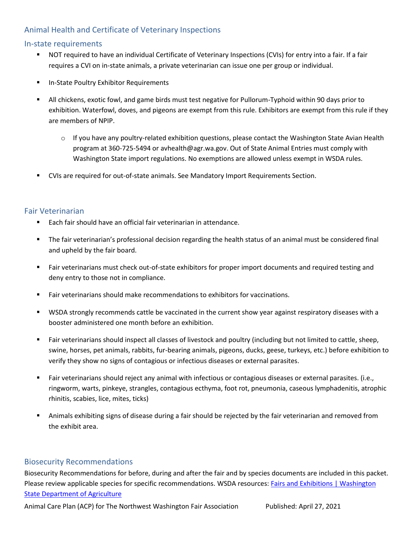#### <span id="page-6-0"></span>Animal Health and Certificate of Veterinary Inspections

#### <span id="page-6-1"></span>In-state requirements

- NOT required to have an individual Certificate of Veterinary Inspections (CVIs) for entry into a fair. If a fair requires a CVI on in-state animals, a private veterinarian can issue one per group or individual.
- In-State Poultry Exhibitor Requirements
- All chickens, exotic fowl, and game birds must test negative for Pullorum-Typhoid within 90 days prior to exhibition. Waterfowl, doves, and pigeons are exempt from this rule. Exhibitors are exempt from this rule if they are members of NPIP.
	- $\circ$  If you have any poultry-related exhibition questions, please contact the Washington State Avian Health program at 360-725-5494 or avhealth@agr.wa.gov. Out of State Animal Entries must comply with Washington State import regulations. No exemptions are allowed unless exempt in WSDA rules.
- CVIs are required for out-of-state animals. See Mandatory Import Requirements Section.

#### <span id="page-6-2"></span>Fair Veterinarian

- Each fair should have an official fair veterinarian in attendance.
- The fair veterinarian's professional decision regarding the health status of an animal must be considered final and upheld by the fair board.
- Fair veterinarians must check out-of-state exhibitors for proper import documents and required testing and deny entry to those not in compliance.
- Fair veterinarians should make recommendations to exhibitors for vaccinations.
- WSDA strongly recommends cattle be vaccinated in the current show year against respiratory diseases with a booster administered one month before an exhibition.
- Fair veterinarians should inspect all classes of livestock and poultry (including but not limited to cattle, sheep, swine, horses, pet animals, rabbits, fur-bearing animals, pigeons, ducks, geese, turkeys, etc.) before exhibition to verify they show no signs of contagious or infectious diseases or external parasites.
- Fair veterinarians should reject any animal with infectious or contagious diseases or external parasites. (i.e., ringworm, warts, pinkeye, strangles, contagious ecthyma, foot rot, pneumonia, caseous lymphadenitis, atrophic rhinitis, scabies, lice, mites, ticks)
- Animals exhibiting signs of disease during a fair should be rejected by the fair veterinarian and removed from the exhibit area.

#### <span id="page-6-3"></span>Biosecurity Recommendations

Biosecurity Recommendations for before, during and after the fair and by species documents are included in this packet. Please review applicable species for specific recommendations. WSDA resources: Fairs and Exhibitions | Washington [State Department of Agriculture](https://agr.wa.gov/departments/animals-livestock-and-pets/animal-health/fairs-and-exhibitions)

Animal Care Plan (ACP) for The Northwest Washington Fair Association Published: April 27, 2021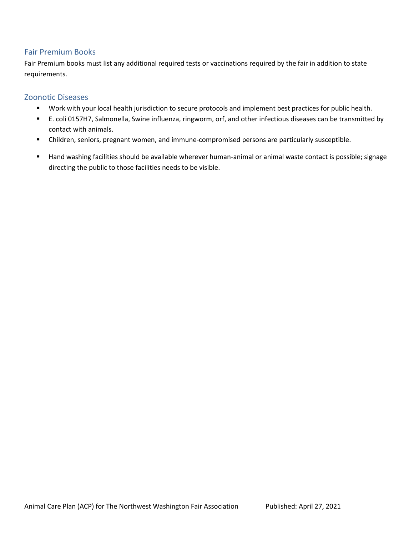#### <span id="page-7-0"></span>Fair Premium Books

Fair Premium books must list any additional required tests or vaccinations required by the fair in addition to state requirements.

#### <span id="page-7-1"></span>Zoonotic Diseases

- Work with your local health jurisdiction to secure protocols and implement best practices for public health.
- E. coli 0157H7, Salmonella, Swine influenza, ringworm, orf, and other infectious diseases can be transmitted by contact with animals.
- Children, seniors, pregnant women, and immune-compromised persons are particularly susceptible.
- Hand washing facilities should be available wherever human-animal or animal waste contact is possible; signage directing the public to those facilities needs to be visible.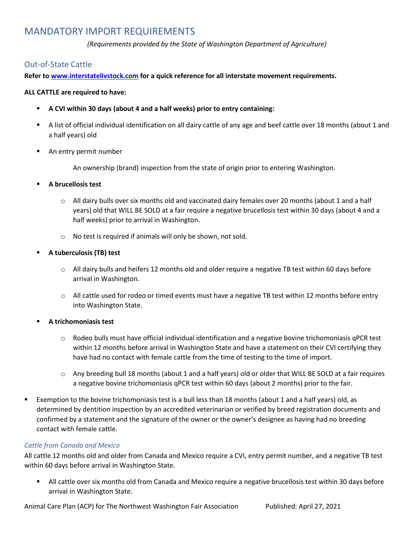## <span id="page-8-0"></span>MANDATORY IMPORT REQUIREMENTS

*(Requirements provided by the State of Washington Department of Agriculture)*

#### <span id="page-8-1"></span>Out-of-State Cattle

**Refer to [www.interstatelivstock.com](http://www.interstatelivstock.com/) for a quick reference for all interstate movement requirements.** 

#### **ALL CATTLE are required to have:**

- **A CVI within 30 days (about 4 and a half weeks) prior to entry containing:**
- A list of official individual identification on all dairy cattle of any age and beef cattle over 18 months (about 1 and a half years) old
- An entry permit number

An ownership (brand) inspection from the state of origin prior to entering Washington.

- **A brucellosis test**
	- o All dairy bulls over six months old and vaccinated dairy females over 20 months (about 1 and a half years) old that WILL BE SOLD at a fair require a negative brucellosis test within 30 days (about 4 and a half weeks) prior to arrival in Washington.
	- o No test is required if animals will only be shown, not sold.
- **A tuberculosis (TB) test**
	- $\circ$  All dairy bulls and heifers 12 months old and older require a negative TB test within 60 days before arrival in Washington.
	- $\circ$  All cattle used for rodeo or timed events must have a negative TB test within 12 months before entry into Washington State.
- A trichomoniasis test
	- $\circ$  Rodeo bulls must have official individual identification and a negative bovine trichomoniasis qPCR test within 12 months before arrival in Washington State and have a statement on their CVI certifying they have had no contact with female cattle from the time of testing to the time of import.
	- $\circ$  Any breeding bull 18 months (about 1 and a half years) old or older that WILL BE SOLD at a fair requires a negative bovine trichomoniasis qPCR test within 60 days (about 2 months) prior to the fair.
- Exemption to the bovine trichomoniasis test is a bull less than 18 months (about 1 and a half years) old, as determined by dentition inspection by an accredited veterinarian or verified by breed registration documents and confirmed by a statement and the signature of the owner or the owner's designee as having had no breeding contact with female cattle.

#### *Cattle from Canada and Mexico*

All cattle 12 months old and older from Canada and Mexico require a CVI, entry permit number, and a negative TB test within 60 days before arrival in Washington State.

All cattle over six months old from Canada and Mexico require a negative brucellosis test within 30 days before arrival in Washington State.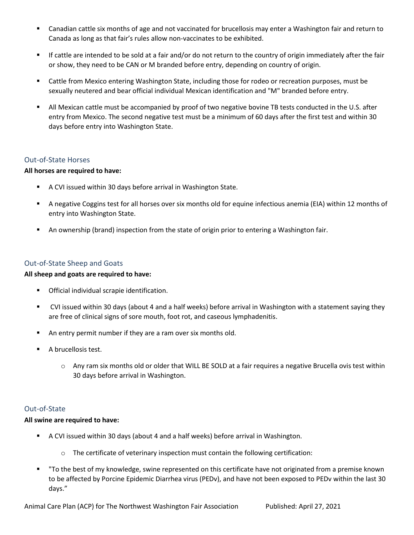- Canadian cattle six months of age and not vaccinated for brucellosis may enter a Washington fair and return to Canada as long as that fair's rules allow non-vaccinates to be exhibited.
- If cattle are intended to be sold at a fair and/or do not return to the country of origin immediately after the fair or show, they need to be CAN or M branded before entry, depending on country of origin.
- Cattle from Mexico entering Washington State, including those for rodeo or recreation purposes, must be sexually neutered and bear official individual Mexican identification and "M" branded before entry.
- All Mexican cattle must be accompanied by proof of two negative bovine TB tests conducted in the U.S. after entry from Mexico. The second negative test must be a minimum of 60 days after the first test and within 30 days before entry into Washington State.

#### <span id="page-9-0"></span>Out-of-State Horses

#### **All horses are required to have:**

- A CVI issued within 30 days before arrival in Washington State.
- A negative Coggins test for all horses over six months old for equine infectious anemia (EIA) within 12 months of entry into Washington State.
- **■** An ownership (brand) inspection from the state of origin prior to entering a Washington fair.

#### <span id="page-9-1"></span>Out-of-State Sheep and Goats

#### **All sheep and goats are required to have:**

- Official individual scrapie identification.
- CVI issued within 30 days (about 4 and a half weeks) before arrival in Washington with a statement saying they are free of clinical signs of sore mouth, foot rot, and caseous lymphadenitis.
- An entry permit number if they are a ram over six months old.
- A brucellosis test.
	- o Any ram six months old or older that WILL BE SOLD at a fair requires a negative Brucella ovis test within 30 days before arrival in Washington.

#### <span id="page-9-2"></span>Out-of-State

#### **All swine are required to have:**

- A CVI issued within 30 days (about 4 and a half weeks) before arrival in Washington.
	- o The certificate of veterinary inspection must contain the following certification:
- "To the best of my knowledge, swine represented on this certificate have not originated from a premise known to be affected by Porcine Epidemic Diarrhea virus (PEDv), and have not been exposed to PEDv within the last 30 days."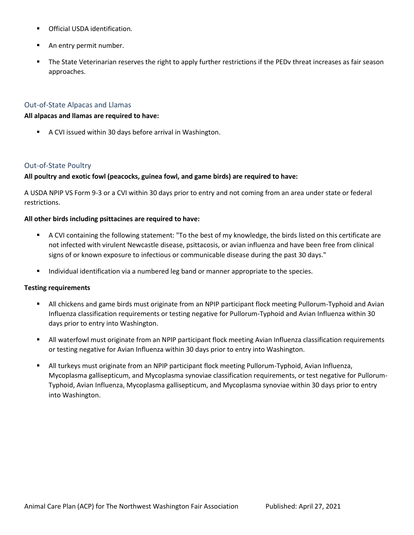- Official USDA identification.
- An entry permit number.
- The State Veterinarian reserves the right to apply further restrictions if the PEDv threat increases as fair season approaches.

#### <span id="page-10-0"></span>Out-of-State Alpacas and Llamas

#### **All alpacas and llamas are required to have:**

■ A CVI issued within 30 days before arrival in Washington.

#### <span id="page-10-1"></span>Out-of-State Poultry

#### **All poultry and exotic fowl (peacocks, guinea fowl, and game birds) are required to have:**

A USDA NPIP VS Form 9-3 or a CVI within 30 days prior to entry and not coming from an area under state or federal restrictions.

#### **All other birds including psittacines are required to have:**

- A CVI containing the following statement: "To the best of my knowledge, the birds listed on this certificate are not infected with virulent Newcastle disease, psittacosis, or avian influenza and have been free from clinical signs of or known exposure to infectious or communicable disease during the past 30 days."
- **■** Individual identification via a numbered leg band or manner appropriate to the species.

#### **Testing requirements**

- All chickens and game birds must originate from an NPIP participant flock meeting Pullorum-Typhoid and Avian Influenza classification requirements or testing negative for Pullorum-Typhoid and Avian Influenza within 30 days prior to entry into Washington.
- All waterfowl must originate from an NPIP participant flock meeting Avian Influenza classification requirements or testing negative for Avian Influenza within 30 days prior to entry into Washington.
- All turkeys must originate from an NPIP participant flock meeting Pullorum-Typhoid, Avian Influenza, Mycoplasma gallisepticum, and Mycoplasma synoviae classification requirements, or test negative for Pullorum-Typhoid, Avian Influenza, Mycoplasma gallisepticum, and Mycoplasma synoviae within 30 days prior to entry into Washington.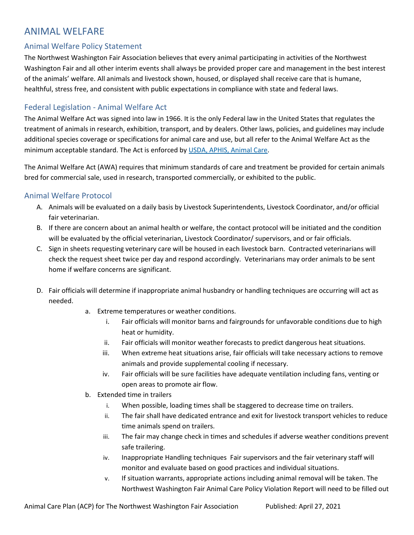## <span id="page-11-0"></span>ANIMAL WELFARE

#### <span id="page-11-1"></span>Animal Welfare Policy Statement

The Northwest Washington Fair Association believes that every animal participating in activities of the Northwest Washington Fair and all other interim events shall always be provided proper care and management in the best interest of the animals' welfare. All animals and livestock shown, housed, or displayed shall receive care that is humane, healthful, stress free, and consistent with public expectations in compliance with state and federal laws.

#### <span id="page-11-2"></span>Federal Legislation - Animal Welfare Act

The Animal Welfare Act was signed into law in 1966. It is the only Federal law in the United States that regulates the treatment of animals in research, exhibition, transport, and by dealers. Other laws, policies, and guidelines may include additional species coverage or specifications for animal care and use, but all refer to the Animal Welfare Act as the minimum acceptable standard. The Act is enforced by USDA, [APHIS, Animal Care.](https://www.aphis.usda.gov/aphis/ourfocus/animalwelfare)

The Animal Welfare Act (AWA) requires that minimum standards of care and treatment be provided for certain animals bred for commercial sale, used in research, transported commercially, or exhibited to the public.

#### <span id="page-11-3"></span>Animal Welfare Protocol

- A. Animals will be evaluated on a daily basis by Livestock Superintendents, Livestock Coordinator, and/or official fair veterinarian.
- B. If there are concern about an animal health or welfare, the contact protocol will be initiated and the condition will be evaluated by the official veterinarian, Livestock Coordinator/ supervisors, and or fair officials.
- C. Sign in sheets requesting veterinary care will be housed in each livestock barn. Contracted veterinarians will check the request sheet twice per day and respond accordingly. Veterinarians may order animals to be sent home if welfare concerns are significant.
- D. Fair officials will determine if inappropriate animal husbandry or handling techniques are occurring will act as needed.
	- a. Extreme temperatures or weather conditions.
		- i. Fair officials will monitor barns and fairgrounds for unfavorable conditions due to high heat or humidity.
		- ii. Fair officials will monitor weather forecasts to predict dangerous heat situations.
		- iii. When extreme heat situations arise, fair officials will take necessary actions to remove animals and provide supplemental cooling if necessary.
		- iv. Fair officials will be sure facilities have adequate ventilation including fans, venting or open areas to promote air flow.
	- b. Extended time in trailers
		- i. When possible, loading times shall be staggered to decrease time on trailers.
		- ii. The fair shall have dedicated entrance and exit for livestock transport vehicles to reduce time animals spend on trailers.
		- iii. The fair may change check in times and schedules if adverse weather conditions prevent safe trailering.
		- iv. Inappropriate Handling techniques Fair supervisors and the fair veterinary staff will monitor and evaluate based on good practices and individual situations.
		- v. If situation warrants, appropriate actions including animal removal will be taken. The Northwest Washington Fair Animal Care Policy Violation Report will need to be filled out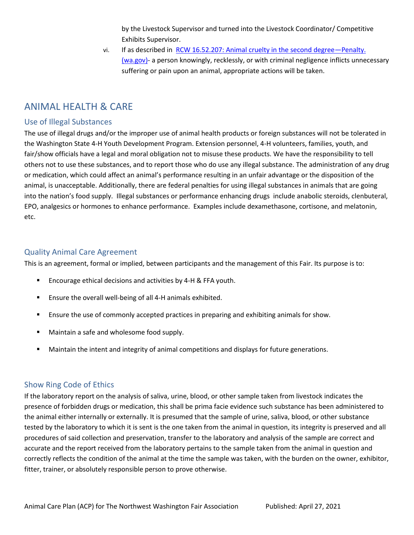by the Livestock Supervisor and turned into the Livestock Coordinator/ Competitive Exhibits Supervisor.

vi. If as described in [RCW 16.52.207: Animal cruelty in the second degree](https://apps.leg.wa.gov/RCW/default.aspx?cite=16.52.207)—Penalty. [\(wa.gov\)-](https://apps.leg.wa.gov/RCW/default.aspx?cite=16.52.207) a person knowingly, recklessly, or with criminal negligence inflicts unnecessary suffering or pain upon an animal, appropriate actions will be taken.

## <span id="page-12-0"></span>ANIMAL HEALTH & CARE

#### <span id="page-12-1"></span>Use of Illegal Substances

The use of illegal drugs and/or the improper use of animal health products or foreign substances will not be tolerated in the Washington State 4-H Youth Development Program. Extension personnel, 4-H volunteers, families, youth, and fair/show officials have a legal and moral obligation not to misuse these products. We have the responsibility to tell others not to use these substances, and to report those who do use any illegal substance. The administration of any drug or medication, which could affect an animal's performance resulting in an unfair advantage or the disposition of the animal, is unacceptable. Additionally, there are federal penalties for using illegal substances in animals that are going into the nation's food supply. Illegal substances or performance enhancing drugs include anabolic steroids, clenbuteral, EPO, analgesics or hormones to enhance performance. Examples include dexamethasone, cortisone, and melatonin, etc.

#### <span id="page-12-2"></span>Quality Animal Care Agreement

This is an agreement, formal or implied, between participants and the management of this Fair. Its purpose is to:

- Encourage ethical decisions and activities by 4-H & FFA youth.
- Ensure the overall well-being of all 4-H animals exhibited.
- **E** Ensure the use of commonly accepted practices in preparing and exhibiting animals for show.
- Maintain a safe and wholesome food supply.
- **■** Maintain the intent and integrity of animal competitions and displays for future generations.

#### <span id="page-12-3"></span>Show Ring Code of Ethics

If the laboratory report on the analysis of saliva, urine, blood, or other sample taken from livestock indicates the presence of forbidden drugs or medication, this shall be prima facie evidence such substance has been administered to the animal either internally or externally. It is presumed that the sample of urine, saliva, blood, or other substance tested by the laboratory to which it is sent is the one taken from the animal in question, its integrity is preserved and all procedures of said collection and preservation, transfer to the laboratory and analysis of the sample are correct and accurate and the report received from the laboratory pertains to the sample taken from the animal in question and correctly reflects the condition of the animal at the time the sample was taken, with the burden on the owner, exhibitor, fitter, trainer, or absolutely responsible person to prove otherwise.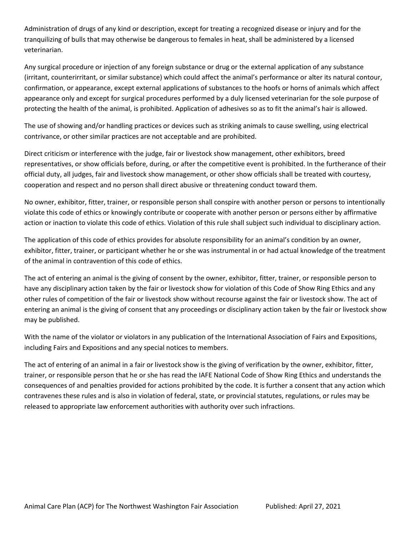Administration of drugs of any kind or description, except for treating a recognized disease or injury and for the tranquilizing of bulls that may otherwise be dangerous to females in heat, shall be administered by a licensed veterinarian.

Any surgical procedure or injection of any foreign substance or drug or the external application of any substance (irritant, counterirritant, or similar substance) which could affect the animal's performance or alter its natural contour, confirmation, or appearance, except external applications of substances to the hoofs or horns of animals which affect appearance only and except for surgical procedures performed by a duly licensed veterinarian for the sole purpose of protecting the health of the animal, is prohibited. Application of adhesives so as to fit the animal's hair is allowed.

The use of showing and/or handling practices or devices such as striking animals to cause swelling, using electrical contrivance, or other similar practices are not acceptable and are prohibited.

Direct criticism or interference with the judge, fair or livestock show management, other exhibitors, breed representatives, or show officials before, during, or after the competitive event is prohibited. In the furtherance of their official duty, all judges, fair and livestock show management, or other show officials shall be treated with courtesy, cooperation and respect and no person shall direct abusive or threatening conduct toward them.

No owner, exhibitor, fitter, trainer, or responsible person shall conspire with another person or persons to intentionally violate this code of ethics or knowingly contribute or cooperate with another person or persons either by affirmative action or inaction to violate this code of ethics. Violation of this rule shall subject such individual to disciplinary action.

The application of this code of ethics provides for absolute responsibility for an animal's condition by an owner, exhibitor, fitter, trainer, or participant whether he or she was instrumental in or had actual knowledge of the treatment of the animal in contravention of this code of ethics.

The act of entering an animal is the giving of consent by the owner, exhibitor, fitter, trainer, or responsible person to have any disciplinary action taken by the fair or livestock show for violation of this Code of Show Ring Ethics and any other rules of competition of the fair or livestock show without recourse against the fair or livestock show. The act of entering an animal is the giving of consent that any proceedings or disciplinary action taken by the fair or livestock show may be published.

With the name of the violator or violators in any publication of the International Association of Fairs and Expositions, including Fairs and Expositions and any special notices to members.

The act of entering of an animal in a fair or livestock show is the giving of verification by the owner, exhibitor, fitter, trainer, or responsible person that he or she has read the IAFE National Code of Show Ring Ethics and understands the consequences of and penalties provided for actions prohibited by the code. It is further a consent that any action which contravenes these rules and is also in violation of federal, state, or provincial statutes, regulations, or rules may be released to appropriate law enforcement authorities with authority over such infractions.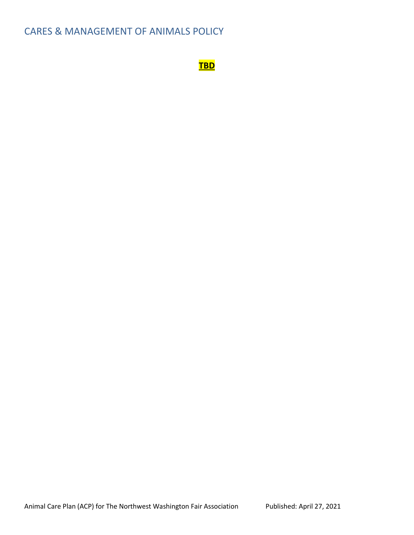## <span id="page-14-0"></span>CARES & MANAGEMENT OF ANIMALS POLICY

**TBD**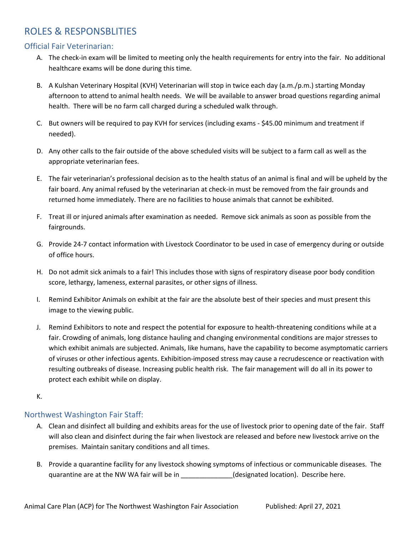## <span id="page-15-0"></span>ROLES & RESPONSBLITIES

#### <span id="page-15-1"></span>Official Fair Veterinarian:

- A. The check-in exam will be limited to meeting only the health requirements for entry into the fair. No additional healthcare exams will be done during this time.
- B. A Kulshan Veterinary Hospital (KVH) Veterinarian will stop in twice each day (a.m./p.m.) starting Monday afternoon to attend to animal health needs. We will be available to answer broad questions regarding animal health. There will be no farm call charged during a scheduled walk through.
- C. But owners will be required to pay KVH for services (including exams \$45.00 minimum and treatment if needed).
- D. Any other calls to the fair outside of the above scheduled visits will be subject to a farm call as well as the appropriate veterinarian fees.
- E. The fair veterinarian's professional decision as to the health status of an animal is final and will be upheld by the fair board. Any animal refused by the veterinarian at check-in must be removed from the fair grounds and returned home immediately. There are no facilities to house animals that cannot be exhibited.
- F. Treat ill or injured animals after examination as needed. Remove sick animals as soon as possible from the fairgrounds.
- G. Provide 24-7 contact information with Livestock Coordinator to be used in case of emergency during or outside of office hours.
- H. Do not admit sick animals to a fair! This includes those with signs of respiratory disease poor body condition score, lethargy, lameness, external parasites, or other signs of illness.
- I. Remind Exhibitor Animals on exhibit at the fair are the absolute best of their species and must present this image to the viewing public.
- J. Remind Exhibitors to note and respect the potential for exposure to health-threatening conditions while at a fair. Crowding of animals, long distance hauling and changing environmental conditions are major stresses to which exhibit animals are subjected. Animals, like humans, have the capability to become asymptomatic carriers of viruses or other infectious agents. Exhibition-imposed stress may cause a recrudescence or reactivation with resulting outbreaks of disease. Increasing public health risk. The fair management will do all in its power to protect each exhibit while on display.

#### K.

#### <span id="page-15-2"></span>Northwest Washington Fair Staff:

- A. Clean and disinfect all building and exhibits areas for the use of livestock prior to opening date of the fair. Staff will also clean and disinfect during the fair when livestock are released and before new livestock arrive on the premises. Maintain sanitary conditions and all times.
- B. Provide a quarantine facility for any livestock showing symptoms of infectious or communicable diseases. The quarantine are at the NW WA fair will be in \_\_\_\_\_\_\_\_\_\_\_\_\_\_(designated location). Describe here.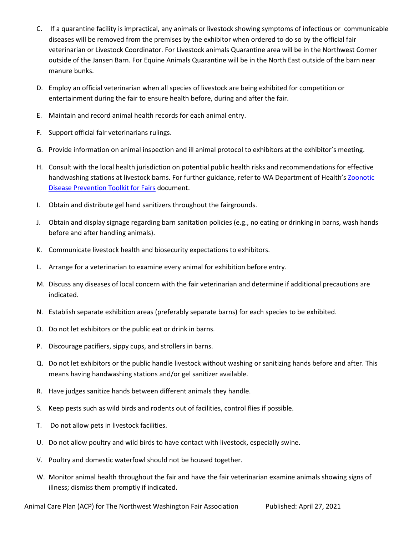- C. If a quarantine facility is impractical, any animals or livestock showing symptoms of infectious or communicable diseases will be removed from the premises by the exhibitor when ordered to do so by the official fair veterinarian or Livestock Coordinator. For Livestock animals Quarantine area will be in the Northwest Corner outside of the Jansen Barn. For Equine Animals Quarantine will be in the North East outside of the barn near manure bunks.
- D. Employ an official veterinarian when all species of livestock are being exhibited for competition or entertainment during the fair to ensure health before, during and after the fair.
- E. Maintain and record animal health records for each animal entry.
- F. Support official fair veterinarians rulings.
- G. Provide information on animal inspection and ill animal protocol to exhibitors at the exhibitor's meeting.
- H. Consult with the local health jurisdiction on potential public health risks and recommendations for effective handwashing stations at livestock barns. For further guidance, refer to WA Department of Health's Zoonotic [Disease Prevention Toolkit for Fairs](https://www.doh.wa.gov/Portals/1/Documents/Pubs/333-220.pdf) document.
- I. Obtain and distribute gel hand sanitizers throughout the fairgrounds.
- J. Obtain and display signage regarding barn sanitation policies (e.g., no eating or drinking in barns, wash hands before and after handling animals).
- K. Communicate livestock health and biosecurity expectations to exhibitors.
- L. Arrange for a veterinarian to examine every animal for exhibition before entry.
- M. Discuss any diseases of local concern with the fair veterinarian and determine if additional precautions are indicated.
- N. Establish separate exhibition areas (preferably separate barns) for each species to be exhibited.
- O. Do not let exhibitors or the public eat or drink in barns.
- P. Discourage pacifiers, sippy cups, and strollers in barns.
- Q. Do not let exhibitors or the public handle livestock without washing or sanitizing hands before and after. This means having handwashing stations and/or gel sanitizer available.
- R. Have judges sanitize hands between different animals they handle.
- S. Keep pests such as wild birds and rodents out of facilities, control flies if possible.
- T. Do not allow pets in livestock facilities.
- U. Do not allow poultry and wild birds to have contact with livestock, especially swine.
- V. Poultry and domestic waterfowl should not be housed together.
- W. Monitor animal health throughout the fair and have the fair veterinarian examine animals showing signs of illness; dismiss them promptly if indicated.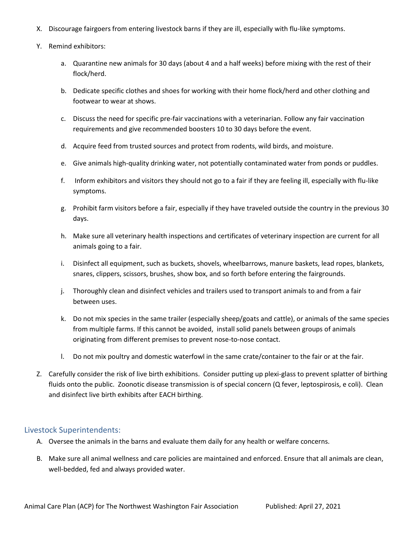- X. Discourage fairgoers from entering livestock barns if they are ill, especially with flu-like symptoms.
- Y. Remind exhibitors:
	- a. Quarantine new animals for 30 days (about 4 and a half weeks) before mixing with the rest of their flock/herd.
	- b. Dedicate specific clothes and shoes for working with their home flock/herd and other clothing and footwear to wear at shows.
	- c. Discuss the need for specific pre-fair vaccinations with a veterinarian. Follow any fair vaccination requirements and give recommended boosters 10 to 30 days before the event.
	- d. Acquire feed from trusted sources and protect from rodents, wild birds, and moisture.
	- e. Give animals high-quality drinking water, not potentially contaminated water from ponds or puddles.
	- f. Inform exhibitors and visitors they should not go to a fair if they are feeling ill, especially with flu-like symptoms.
	- g. Prohibit farm visitors before a fair, especially if they have traveled outside the country in the previous 30 days.
	- h. Make sure all veterinary health inspections and certificates of veterinary inspection are current for all animals going to a fair.
	- i. Disinfect all equipment, such as buckets, shovels, wheelbarrows, manure baskets, lead ropes, blankets, snares, clippers, scissors, brushes, show box, and so forth before entering the fairgrounds.
	- j. Thoroughly clean and disinfect vehicles and trailers used to transport animals to and from a fair between uses.
	- k. Do not mix species in the same trailer (especially sheep/goats and cattle), or animals of the same species from multiple farms. If this cannot be avoided, install solid panels between groups of animals originating from different premises to prevent nose-to-nose contact.
	- l. Do not mix poultry and domestic waterfowl in the same crate/container to the fair or at the fair.
- Z. Carefully consider the risk of live birth exhibitions. Consider putting up plexi-glass to prevent splatter of birthing fluids onto the public. Zoonotic disease transmission is of special concern (Q fever, leptospirosis, e coli). Clean and disinfect live birth exhibits after EACH birthing.

#### <span id="page-17-0"></span>Livestock Superintendents:

- A. Oversee the animals in the barns and evaluate them daily for any health or welfare concerns.
- B. Make sure all animal wellness and care policies are maintained and enforced. Ensure that all animals are clean, well-bedded, fed and always provided water.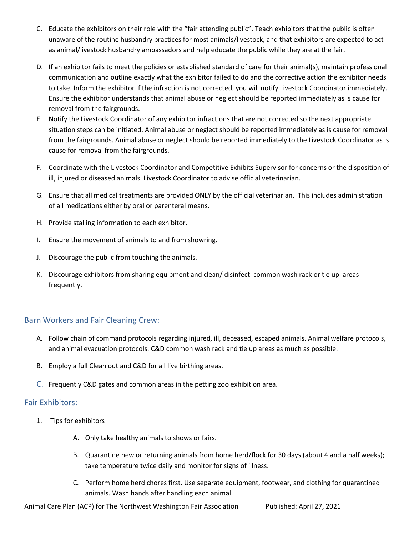- C. Educate the exhibitors on their role with the "fair attending public". Teach exhibitors that the public is often unaware of the routine husbandry practices for most animals/livestock, and that exhibitors are expected to act as animal/livestock husbandry ambassadors and help educate the public while they are at the fair.
- D. If an exhibitor fails to meet the policies or established standard of care for their animal(s), maintain professional communication and outline exactly what the exhibitor failed to do and the corrective action the exhibitor needs to take. Inform the exhibitor if the infraction is not corrected, you will notify Livestock Coordinator immediately. Ensure the exhibitor understands that animal abuse or neglect should be reported immediately as is cause for removal from the fairgrounds.
- E. Notify the Livestock Coordinator of any exhibitor infractions that are not corrected so the next appropriate situation steps can be initiated. Animal abuse or neglect should be reported immediately as is cause for removal from the fairgrounds. Animal abuse or neglect should be reported immediately to the Livestock Coordinator as is cause for removal from the fairgrounds.
- F. Coordinate with the Livestock Coordinator and Competitive Exhibits Supervisor for concerns or the disposition of ill, injured or diseased animals. Livestock Coordinator to advise official veterinarian.
- G. Ensure that all medical treatments are provided ONLY by the official veterinarian. This includes administration of all medications either by oral or parenteral means.
- H. Provide stalling information to each exhibitor.
- I. Ensure the movement of animals to and from showring.
- J. Discourage the public from touching the animals.
- K. Discourage exhibitors from sharing equipment and clean/ disinfect common wash rack or tie up areas frequently.

#### <span id="page-18-0"></span>Barn Workers and Fair Cleaning Crew:

- A. Follow chain of command protocols regarding injured, ill, deceased, escaped animals. Animal welfare protocols, and animal evacuation protocols. C&D common wash rack and tie up areas as much as possible.
- B. Employ a full Clean out and C&D for all live birthing areas.
- C. Frequently C&D gates and common areas in the petting zoo exhibition area.

#### <span id="page-18-1"></span>Fair Exhibitors:

- 1. Tips for exhibitors
	- A. Only take healthy animals to shows or fairs.
	- B. Quarantine new or returning animals from home herd/flock for 30 days (about 4 and a half weeks); take temperature twice daily and monitor for signs of illness.
	- C. Perform home herd chores first. Use separate equipment, footwear, and clothing for quarantined animals. Wash hands after handling each animal.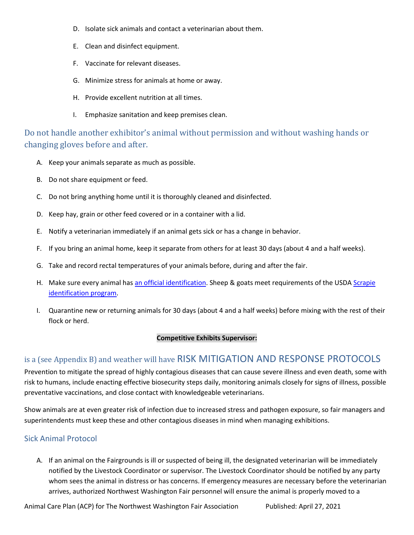- D. Isolate sick animals and contact a veterinarian about them.
- E. Clean and disinfect equipment.
- F. Vaccinate for relevant diseases.
- G. Minimize stress for animals at home or away.
- H. Provide excellent nutrition at all times.
- I. Emphasize sanitation and keep premises clean.

Do not handle another exhibitor's animal without permission and without washing hands or changing gloves before and after.

- A. Keep your animals separate as much as possible.
- B. Do not share equipment or feed.
- C. Do not bring anything home until it is thoroughly cleaned and disinfected.
- D. Keep hay, grain or other feed covered or in a container with a lid.
- E. Notify a veterinarian immediately if an animal gets sick or has a change in behavior.
- F. If you bring an animal home, keep it separate from others for at least 30 days (about 4 and a half weeks).
- G. Take and record rectal temperatures of your animals before, during and after the fair.
- H. Make sure every animal has [an official identification.](https://www.aphis.usda.gov/traceability/downloads/ADT_eartags_criteria.pdf) Sheep & goats meet requirements of the USD[A Scrapie](https://www.aphis.usda.gov/aphis/ourfocus/animalhealth/animal-disease-information/sheep-and-goat-health/national-scrapie-eradication-program) [identification program.](https://www.aphis.usda.gov/aphis/ourfocus/animalhealth/animal-disease-information/sheep-and-goat-health/national-scrapie-eradication-program)
- I. Quarantine new or returning animals for 30 days (about 4 and a half weeks) before mixing with the rest of their flock or herd.

#### <span id="page-19-0"></span>**Competitive Exhibits Supervisor:**

### is a (see Appendix B) and weather will have RISK MITIGATION AND RESPONSE PROTOCOLS

Prevention to mitigate the spread of highly contagious diseases that can cause severe illness and even death, some with risk to humans, include enacting effective biosecurity steps daily, monitoring animals closely for signs of illness, possible preventative vaccinations, and close contact with knowledgeable veterinarians.

Show animals are at even greater risk of infection due to increased stress and pathogen exposure, so fair managers and superintendents must keep these and other contagious diseases in mind when managing exhibitions.

#### <span id="page-19-1"></span>Sick Animal Protocol

A. If an animal on the Fairgrounds is ill or suspected of being ill, the designated veterinarian will be immediately notified by the Livestock Coordinator or supervisor. The Livestock Coordinator should be notified by any party whom sees the animal in distress or has concerns. If emergency measures are necessary before the veterinarian arrives, authorized Northwest Washington Fair personnel will ensure the animal is properly moved to a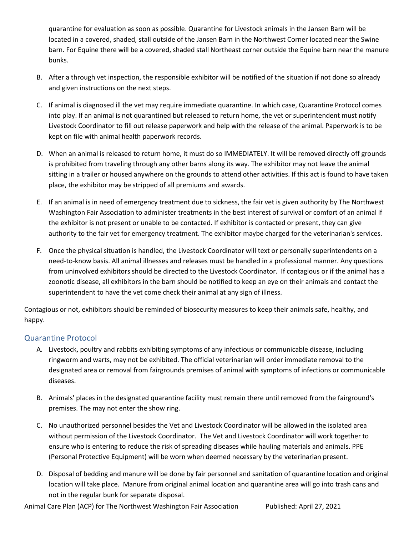quarantine for evaluation as soon as possible. Quarantine for Livestock animals in the Jansen Barn will be located in a covered, shaded, stall outside of the Jansen Barn in the Northwest Corner located near the Swine barn. For Equine there will be a covered, shaded stall Northeast corner outside the Equine barn near the manure bunks.

- B. After a through vet inspection, the responsible exhibitor will be notified of the situation if not done so already and given instructions on the next steps.
- C. If animal is diagnosed ill the vet may require immediate quarantine. In which case, Quarantine Protocol comes into play. If an animal is not quarantined but released to return home, the vet or superintendent must notify Livestock Coordinator to fill out release paperwork and help with the release of the animal. Paperwork is to be kept on file with animal health paperwork records.
- D. When an animal is released to return home, it must do so IMMEDIATELY. It will be removed directly off grounds is prohibited from traveling through any other barns along its way. The exhibitor may not leave the animal sitting in a trailer or housed anywhere on the grounds to attend other activities. If this act is found to have taken place, the exhibitor may be stripped of all premiums and awards.
- E. If an animal is in need of emergency treatment due to sickness, the fair vet is given authority by The Northwest Washington Fair Association to administer treatments in the best interest of survival or comfort of an animal if the exhibitor is not present or unable to be contacted. If exhibitor is contacted or present, they can give authority to the fair vet for emergency treatment. The exhibitor maybe charged for the veterinarian's services.
- F. Once the physical situation is handled, the Livestock Coordinator will text or personally superintendents on a need-to-know basis. All animal illnesses and releases must be handled in a professional manner. Any questions from uninvolved exhibitors should be directed to the Livestock Coordinator. If contagious or if the animal has a zoonotic disease, all exhibitors in the barn should be notified to keep an eye on their animals and contact the superintendent to have the vet come check their animal at any sign of illness.

Contagious or not, exhibitors should be reminded of biosecurity measures to keep their animals safe, healthy, and happy.

#### <span id="page-20-0"></span>Quarantine Protocol

- A. Livestock, poultry and rabbits exhibiting symptoms of any infectious or communicable disease, including ringworm and warts, may not be exhibited. The official veterinarian will order immediate removal to the designated area or removal from fairgrounds premises of animal with symptoms of infections or communicable diseases.
- B. Animals' places in the designated quarantine facility must remain there until removed from the fairground's premises. The may not enter the show ring.
- C. No unauthorized personnel besides the Vet and Livestock Coordinator will be allowed in the isolated area without permission of the Livestock Coordinator. The Vet and Livestock Coordinator will work together to ensure who is entering to reduce the risk of spreading diseases while hauling materials and animals. PPE (Personal Protective Equipment) will be worn when deemed necessary by the veterinarian present.
- D. Disposal of bedding and manure will be done by fair personnel and sanitation of quarantine location and original location will take place. Manure from original animal location and quarantine area will go into trash cans and not in the regular bunk for separate disposal.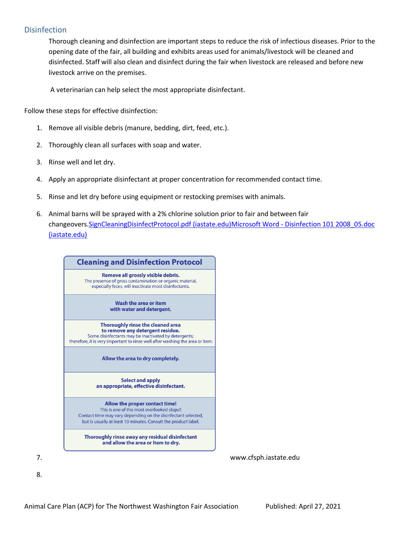#### <span id="page-21-0"></span>**Disinfection**

Thorough cleaning and disinfection are important steps to reduce the risk of infectious diseases. Prior to the opening date of the fair, all building and exhibits areas used for animals/livestock will be cleaned and disinfected. Staff will also clean and disinfect during the fair when livestock are released and before new livestock arrive on the premises.

A veterinarian can help select the most appropriate disinfectant.

Follow these steps for effective disinfection:

- 1. Remove all visible debris (manure, bedding, dirt, feed, etc.).
- 2. Thoroughly clean all surfaces with soap and water.
- 3. Rinse well and let dry.
- 4. Apply an appropriate disinfectant at proper concentration for recommended contact time.
- 5. Rinse and let dry before using equipment or restocking premises with animals.
- 6. Animal barns will be sprayed with a 2% chlorine solution prior to fair and between fair changeovers[.SignCleaningDisinfectProtocol.pdf \(iastate.edu\)M](https://www.cfsph.iastate.edu/Maddies_Textbook/Resources/CleaningDisinfection/SignCleaningDisinfectProtocol.pdf)icrosoft Word - [Disinfection 101 2008\\_05.doc](https://www.cfsph.iastate.edu/Disinfection/Assets/Disinfection101.pdf)  [\(iastate.edu\)](https://www.cfsph.iastate.edu/Disinfection/Assets/Disinfection101.pdf)

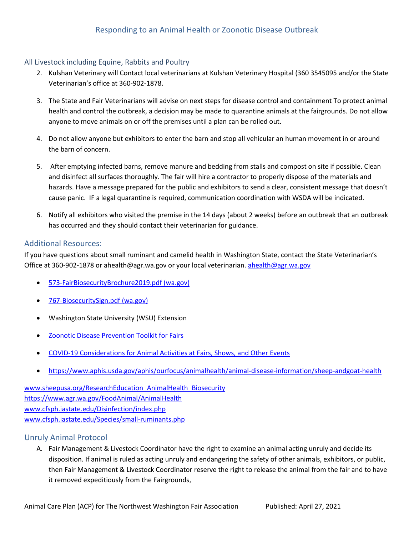#### <span id="page-22-0"></span>All Livestock including Equine, Rabbits and Poultry

- 2. Kulshan Veterinary will Contact local veterinarians at Kulshan Veterinary Hospital (360 3545095 and/or the State Veterinarian's office at 360-902-1878.
- 3. The State and Fair Veterinarians will advise on next steps for disease control and containment To protect animal health and control the outbreak, a decision may be made to quarantine animals at the fairgrounds. Do not allow anyone to move animals on or off the premises until a plan can be rolled out.
- 4. Do not allow anyone but exhibitors to enter the barn and stop all vehicular an human movement in or around the barn of concern.
- 5. After emptying infected barns, remove manure and bedding from stalls and compost on site if possible. Clean and disinfect all surfaces thoroughly. The fair will hire a contractor to properly dispose of the materials and hazards. Have a message prepared for the public and exhibitors to send a clear, consistent message that doesn't cause panic. IF a legal quarantine is required, communication coordination with WSDA will be indicated.
- 6. Notify all exhibitors who visited the premise in the 14 days (about 2 weeks) before an outbreak that an outbreak has occurred and they should contact their veterinarian for guidance.

#### <span id="page-22-1"></span>Additional Resources:

If you have questions about small ruminant and camelid health in Washington State, contact the State Veterinarian's Office at 360-902-1878 or ahealth@agr.wa.gov or your local veterinarian[. ahealth@agr.wa.gov](mailto:ahealth@agr.wa.gov)

- [573-FairBiosecurityBrochure2019.pdf \(wa.gov\)](https://cms.agr.wa.gov/WSDAKentico/Imported/573-FairBiosecurityBrochure2019.pdf?/573-FairBiosecurityBrochure2019.pdf)
- [767-BiosecuritySign.pdf \(wa.gov\)](https://cms.agr.wa.gov/WSDAKentico/Documents/AnS/AnimalHealth/767-BiosecuritySign.pdf?/767-BiosecuritySign)
- Washington State University (WSU) Extension
- [Zoonotic Disease Prevention Toolkit for Fairs](https://www.doh.wa.gov/Portals/1/Documents/Pubs/333-220.pdf)
- [COVID-19 Considerations for Animal Activities at Fairs, Shows, and Other Events](https://www.cdc.gov/coronavirus/2019-ncov/animals/events-animal-activities.html)
- <https://www.aphis.usda.gov/aphis/ourfocus/animalhealth/animal-disease-information/sheep-andgoat-health>

[www.sheepusa.org/ResearchEducation\\_AnimalHealth\\_Biosecurity](http://www.sheepusa.org/ResearchEducation_AnimalHealth_Biosecurity) <https://www.agr.wa.gov/FoodAnimal/AnimalHealth> [www.cfsph.iastate.edu/Disinfection/index.php](http://www.cfsph.iastate.edu/Disinfection/index.php) [www.cfsph.iastate.edu/Species/small-ruminants.php](http://www.cfsph.iastate.edu/Species/small-ruminants.php)

#### <span id="page-22-2"></span>Unruly Animal Protocol

A. Fair Management & Livestock Coordinator have the right to examine an animal acting unruly and decide its disposition. If animal is ruled as acting unruly and endangering the safety of other animals, exhibitors, or public, then Fair Management & Livestock Coordinator reserve the right to release the animal from the fair and to have it removed expeditiously from the Fairgrounds,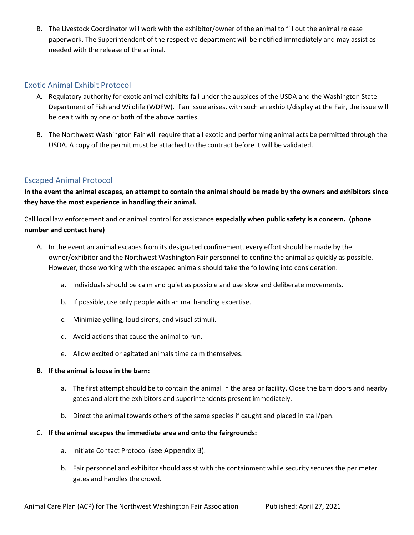B. The Livestock Coordinator will work with the exhibitor/owner of the animal to fill out the animal release paperwork. The Superintendent of the respective department will be notified immediately and may assist as needed with the release of the animal.

#### <span id="page-23-0"></span>Exotic Animal Exhibit Protocol

- A. Regulatory authority for exotic animal exhibits fall under the auspices of the USDA and the Washington State Department of Fish and Wildlife (WDFW). If an issue arises, with such an exhibit/display at the Fair, the issue will be dealt with by one or both of the above parties.
- B. The Northwest Washington Fair will require that all exotic and performing animal acts be permitted through the USDA. A copy of the permit must be attached to the contract before it will be validated.

#### <span id="page-23-1"></span>Escaped Animal Protocol

**In the event the animal escapes, an attempt to contain the animal should be made by the owners and exhibitors since they have the most experience in handling their animal.**

Call local law enforcement and or animal control for assistance **especially when public safety is a concern. (phone number and contact here)**

- A. In the event an animal escapes from its designated confinement, every effort should be made by the owner/exhibitor and the Northwest Washington Fair personnel to confine the animal as quickly as possible. However, those working with the escaped animals should take the following into consideration:
	- a. Individuals should be calm and quiet as possible and use slow and deliberate movements.
	- b. If possible, use only people with animal handling expertise.
	- c. Minimize yelling, loud sirens, and visual stimuli.
	- d. Avoid actions that cause the animal to run.
	- e. Allow excited or agitated animals time calm themselves.

#### **B. If the animal is loose in the barn:**

- a. The first attempt should be to contain the animal in the area or facility. Close the barn doors and nearby gates and alert the exhibitors and superintendents present immediately.
- b. Direct the animal towards others of the same species if caught and placed in stall/pen.

#### C. **If the animal escapes the immediate area and onto the fairgrounds:**

- a. Initiate Contact Protocol (see Appendix B).
- b. Fair personnel and exhibitor should assist with the containment while security secures the perimeter gates and handles the crowd.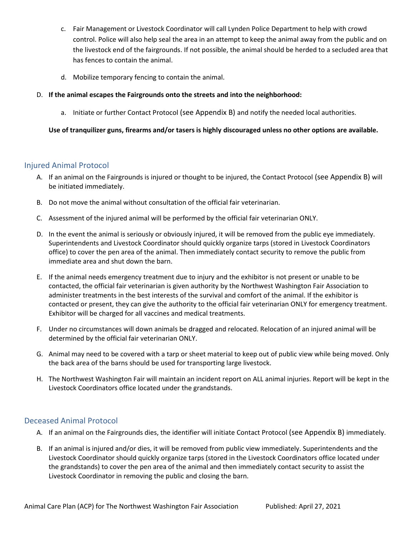- c. Fair Management or Livestock Coordinator will call Lynden Police Department to help with crowd control. Police will also help seal the area in an attempt to keep the animal away from the public and on the livestock end of the fairgrounds. If not possible, the animal should be herded to a secluded area that has fences to contain the animal.
- d. Mobilize temporary fencing to contain the animal.
- D. **If the animal escapes the Fairgrounds onto the streets and into the neighborhood:**
	- a. Initiate or further Contact Protocol (see Appendix B) and notify the needed local authorities.

#### **Use of tranquilizer guns, firearms and/or tasers is highly discouraged unless no other options are available.**

#### <span id="page-24-0"></span>Injured Animal Protocol

- A. If an animal on the Fairgrounds is injured or thought to be injured, the Contact Protocol (see Appendix B) will be initiated immediately.
- B. Do not move the animal without consultation of the official fair veterinarian.
- C. Assessment of the injured animal will be performed by the official fair veterinarian ONLY.
- D. In the event the animal is seriously or obviously injured, it will be removed from the public eye immediately. Superintendents and Livestock Coordinator should quickly organize tarps (stored in Livestock Coordinators office) to cover the pen area of the animal. Then immediately contact security to remove the public from immediate area and shut down the barn.
- E. If the animal needs emergency treatment due to injury and the exhibitor is not present or unable to be contacted, the official fair veterinarian is given authority by the Northwest Washington Fair Association to administer treatments in the best interests of the survival and comfort of the animal. If the exhibitor is contacted or present, they can give the authority to the official fair veterinarian ONLY for emergency treatment. Exhibitor will be charged for all vaccines and medical treatments.
- F. Under no circumstances will down animals be dragged and relocated. Relocation of an injured animal will be determined by the official fair veterinarian ONLY.
- G. Animal may need to be covered with a tarp or sheet material to keep out of public view while being moved. Only the back area of the barns should be used for transporting large livestock.
- H. The Northwest Washington Fair will maintain an incident report on ALL animal injuries. Report will be kept in the Livestock Coordinators office located under the grandstands.

#### <span id="page-24-1"></span>Deceased Animal Protocol

- A. If an animal on the Fairgrounds dies, the identifier will initiate Contact Protocol (see Appendix B) immediately.
- B. If an animal is injured and/or dies, it will be removed from public view immediately. Superintendents and the Livestock Coordinator should quickly organize tarps (stored in the Livestock Coordinators office located under the grandstands) to cover the pen area of the animal and then immediately contact security to assist the Livestock Coordinator in removing the public and closing the barn.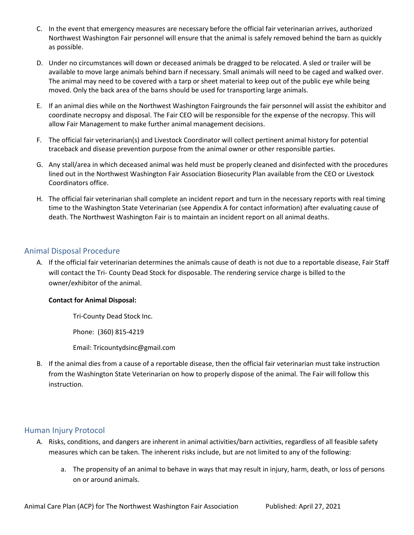- C. In the event that emergency measures are necessary before the official fair veterinarian arrives, authorized Northwest Washington Fair personnel will ensure that the animal is safely removed behind the barn as quickly as possible.
- D. Under no circumstances will down or deceased animals be dragged to be relocated. A sled or trailer will be available to move large animals behind barn if necessary. Small animals will need to be caged and walked over. The animal may need to be covered with a tarp or sheet material to keep out of the public eye while being moved. Only the back area of the barns should be used for transporting large animals.
- E. If an animal dies while on the Northwest Washington Fairgrounds the fair personnel will assist the exhibitor and coordinate necropsy and disposal. The Fair CEO will be responsible for the expense of the necropsy. This will allow Fair Management to make further animal management decisions.
- F. The official fair veterinarian(s) and Livestock Coordinator will collect pertinent animal history for potential traceback and disease prevention purpose from the animal owner or other responsible parties.
- G. Any stall/area in which deceased animal was held must be properly cleaned and disinfected with the procedures lined out in the Northwest Washington Fair Association Biosecurity Plan available from the CEO or Livestock Coordinators office.
- H. The official fair veterinarian shall complete an incident report and turn in the necessary reports with real timing time to the Washington State Veterinarian (see Appendix A for contact information) after evaluating cause of death. The Northwest Washington Fair is to maintain an incident report on all animal deaths.

#### <span id="page-25-0"></span>Animal Disposal Procedure

A. If the official fair veterinarian determines the animals cause of death is not due to a reportable disease, Fair Staff will contact the Tri- County Dead Stock for disposable. The rendering service charge is billed to the owner/exhibitor of the animal.

#### **Contact for Animal Disposal:**

Tri-County Dead Stock Inc.

Phone: (360) 815-4219

Email: [Tricountydsinc@gmail.com](mailto:Tricountydsinc@gmail.com)

B. If the animal dies from a cause of a reportable disease, then the official fair veterinarian must take instruction from the Washington State Veterinarian on how to properly dispose of the animal. The Fair will follow this instruction.

#### <span id="page-25-1"></span>Human Injury Protocol

- A. Risks, conditions, and dangers are inherent in animal activities/barn activities, regardless of all feasible safety measures which can be taken. The inherent risks include, but are not limited to any of the following:
	- a. The propensity of an animal to behave in ways that may result in injury, harm, death, or loss of persons on or around animals.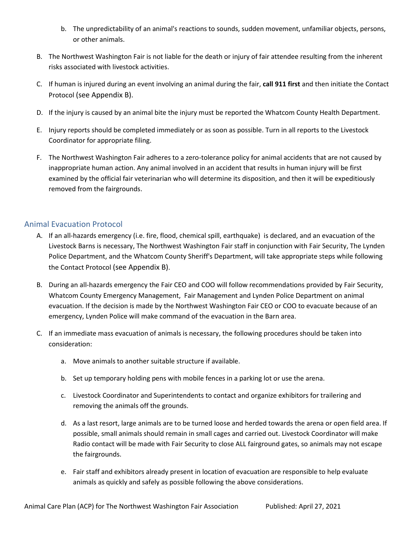- b. The unpredictability of an animal's reactions to sounds, sudden movement, unfamiliar objects, persons, or other animals.
- B. The Northwest Washington Fair is not liable for the death or injury of fair attendee resulting from the inherent risks associated with livestock activities.
- C. If human is injured during an event involving an animal during the fair, **call 911 first** and then initiate the Contact Protocol (see Appendix B).
- D. If the injury is caused by an animal bite the injury must be reported the Whatcom County Health Department.
- E. Injury reports should be completed immediately or as soon as possible. Turn in all reports to the Livestock Coordinator for appropriate filing.
- F. The Northwest Washington Fair adheres to a zero-tolerance policy for animal accidents that are not caused by inappropriate human action. Any animal involved in an accident that results in human injury will be first examined by the official fair veterinarian who will determine its disposition, and then it will be expeditiously removed from the fairgrounds.

#### <span id="page-26-0"></span>Animal Evacuation Protocol

- A. If an all-hazards emergency (i.e. fire, flood, chemical spill, earthquake) is declared, and an evacuation of the Livestock Barns is necessary, The Northwest Washington Fair staff in conjunction with Fair Security, The Lynden Police Department, and the Whatcom County Sheriff's Department, will take appropriate steps while following the Contact Protocol (see Appendix B).
- B. During an all-hazards emergency the Fair CEO and COO will follow recommendations provided by Fair Security, Whatcom County Emergency Management, Fair Management and Lynden Police Department on animal evacuation. If the decision is made by the Northwest Washington Fair CEO or COO to evacuate because of an emergency, Lynden Police will make command of the evacuation in the Barn area.
- C. If an immediate mass evacuation of animals is necessary, the following procedures should be taken into consideration:
	- a. Move animals to another suitable structure if available.
	- b. Set up temporary holding pens with mobile fences in a parking lot or use the arena.
	- c. Livestock Coordinator and Superintendents to contact and organize exhibitors for trailering and removing the animals off the grounds.
	- d. As a last resort, large animals are to be turned loose and herded towards the arena or open field area. If possible, small animals should remain in small cages and carried out. Livestock Coordinator will make Radio contact will be made with Fair Security to close ALL fairground gates, so animals may not escape the fairgrounds.
	- e. Fair staff and exhibitors already present in location of evacuation are responsible to help evaluate animals as quickly and safely as possible following the above considerations.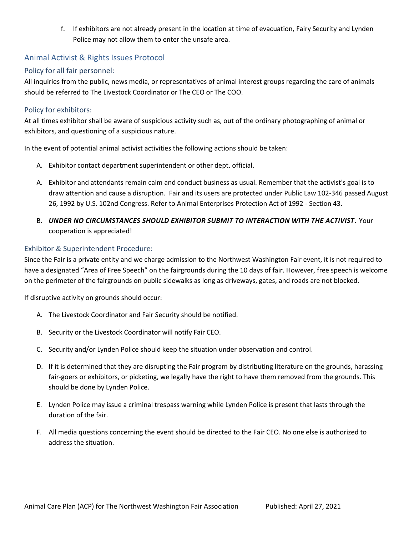f. If exhibitors are not already present in the location at time of evacuation, Fairy Security and Lynden Police may not allow them to enter the unsafe area.

#### <span id="page-27-0"></span>Animal Activist & Rights Issues Protocol

#### <span id="page-27-1"></span>Policy for all fair personnel:

All inquiries from the public, news media, or representatives of animal interest groups regarding the care of animals should be referred to The Livestock Coordinator or The CEO or The COO.

#### <span id="page-27-2"></span>Policy for exhibitors:

At all times exhibitor shall be aware of suspicious activity such as, out of the ordinary photographing of animal or exhibitors, and questioning of a suspicious nature.

In the event of potential animal activist activities the following actions should be taken:

- A. Exhibitor contact department superintendent or other dept. official.
- A. Exhibitor and attendants remain calm and conduct business as usual. Remember that the activist's goal is to draw attention and cause a disruption. Fair and its users are protected under Public Law 102-346 passed August 26, 1992 by U.S. 102nd Congress. Refer to Animal Enterprises Protection Act of 1992 - Section 43.
- B. *UNDER NO CIRCUMSTANCES SHOULD EXHIBITOR SUBMIT TO INTERACTION WITH THE ACTIVIST.* Your cooperation is appreciated!

#### <span id="page-27-3"></span>Exhibitor & Superintendent Procedure:

Since the Fair is a private entity and we charge admission to the Northwest Washington Fair event, it is not required to have a designated "Area of Free Speech" on the fairgrounds during the 10 days of fair. However, free speech is welcome on the perimeter of the fairgrounds on public sidewalks as long as driveways, gates, and roads are not blocked.

If disruptive activity on grounds should occur:

- A. The Livestock Coordinator and Fair Security should be notified.
- B. Security or the Livestock Coordinator will notify Fair CEO.
- C. Security and/or Lynden Police should keep the situation under observation and control.
- D. If it is determined that they are disrupting the Fair program by distributing literature on the grounds, harassing fair-goers or exhibitors, or picketing, we legally have the right to have them removed from the grounds. This should be done by Lynden Police.
- E. Lynden Police may issue a criminal trespass warning while Lynden Police is present that lasts through the duration of the fair.
- F. All media questions concerning the event should be directed to the Fair CEO. No one else is authorized to address the situation.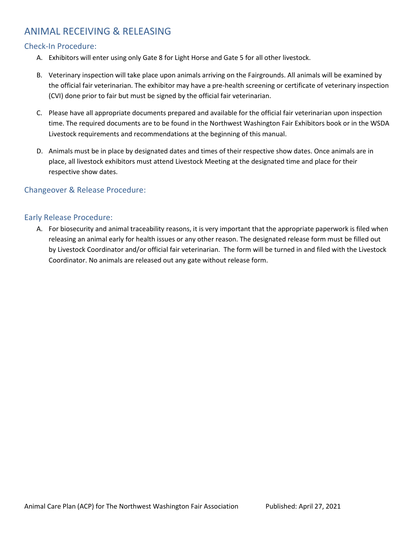## <span id="page-28-0"></span>ANIMAL RECEIVING & RELEASING

#### <span id="page-28-1"></span>Check-In Procedure:

- A. Exhibitors will enter using only Gate 8 for Light Horse and Gate 5 for all other livestock.
- B. Veterinary inspection will take place upon animals arriving on the Fairgrounds. All animals will be examined by the official fair veterinarian. The exhibitor may have a pre-health screening or certificate of veterinary inspection (CVI) done prior to fair but must be signed by the official fair veterinarian.
- C. Please have all appropriate documents prepared and available for the official fair veterinarian upon inspection time. The required documents are to be found in the Northwest Washington Fair Exhibitors book or in the WSDA Livestock requirements and recommendations at the beginning of this manual.
- D. Animals must be in place by designated dates and times of their respective show dates. Once animals are in place, all livestock exhibitors must attend Livestock Meeting at the designated time and place for their respective show dates.

#### <span id="page-28-2"></span>Changeover & Release Procedure:

#### <span id="page-28-3"></span>Early Release Procedure:

A. For biosecurity and animal traceability reasons, it is very important that the appropriate paperwork is filed when releasing an animal early for health issues or any other reason. The designated release form must be filled out by Livestock Coordinator and/or official fair veterinarian. The form will be turned in and filed with the Livestock Coordinator. No animals are released out any gate without release form.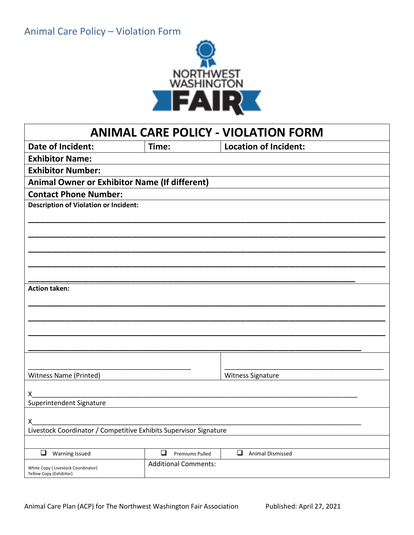

<span id="page-29-0"></span>

| <b>ANIMAL CARE POLICY - VIOLATION FORM</b>                        |                                  |                                   |  |
|-------------------------------------------------------------------|----------------------------------|-----------------------------------|--|
| <b>Date of Incident:</b>                                          | Time:                            | <b>Location of Incident:</b>      |  |
| <b>Exhibitor Name:</b>                                            |                                  |                                   |  |
| <b>Exhibitor Number:</b>                                          |                                  |                                   |  |
| <b>Animal Owner or Exhibitor Name (If different)</b>              |                                  |                                   |  |
| <b>Contact Phone Number:</b>                                      |                                  |                                   |  |
| <b>Description of Violation or Incident:</b>                      |                                  |                                   |  |
|                                                                   |                                  |                                   |  |
|                                                                   |                                  |                                   |  |
|                                                                   |                                  |                                   |  |
|                                                                   |                                  |                                   |  |
|                                                                   |                                  |                                   |  |
|                                                                   |                                  |                                   |  |
| <b>Action taken:</b>                                              |                                  |                                   |  |
|                                                                   |                                  |                                   |  |
|                                                                   |                                  |                                   |  |
|                                                                   |                                  |                                   |  |
|                                                                   |                                  |                                   |  |
|                                                                   |                                  |                                   |  |
|                                                                   |                                  |                                   |  |
| <b>Witness Name (Printed)</b>                                     |                                  | Witness Signature                 |  |
|                                                                   |                                  |                                   |  |
| Х_                                                                |                                  |                                   |  |
| Superintendent Signature                                          |                                  |                                   |  |
| X.                                                                |                                  |                                   |  |
| Livestock Coordinator / Competitive Exhibits Supervisor Signature |                                  |                                   |  |
|                                                                   |                                  |                                   |  |
| $\Box$<br><b>Warning Issued</b>                                   | $\Box$<br><b>Premiums Pulled</b> | $\Box$<br><b>Animal Dismissed</b> |  |
| White Copy ( Livestock Coordinator)<br>Yellow Copy (Exhibitor)    | <b>Additional Comments:</b>      |                                   |  |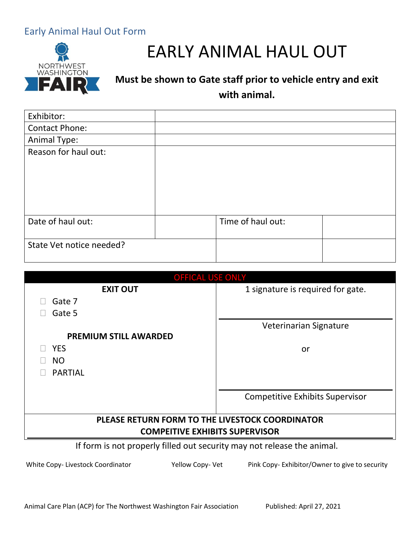## <span id="page-30-0"></span>Early Animal Haul Out Form



# EARLY ANIMAL HAUL OUT

# **Must be shown to Gate staff prior to vehicle entry and exit with animal.**

| Exhibitor:               |                   |  |
|--------------------------|-------------------|--|
| Contact Phone:           |                   |  |
| Animal Type:             |                   |  |
| Reason for haul out:     |                   |  |
| Date of haul out:        | Time of haul out: |  |
| State Vet notice needed? |                   |  |

| <b>OFFICAL USE ONLY</b>                                                 |                                        |  |
|-------------------------------------------------------------------------|----------------------------------------|--|
| <b>EXIT OUT</b>                                                         | 1 signature is required for gate.      |  |
| Gate 7                                                                  |                                        |  |
| Gate 5                                                                  |                                        |  |
|                                                                         | Veterinarian Signature                 |  |
| <b>PREMIUM STILL AWARDED</b>                                            |                                        |  |
| <b>YES</b>                                                              | or                                     |  |
| NO                                                                      |                                        |  |
| <b>PARTIAL</b>                                                          |                                        |  |
|                                                                         |                                        |  |
|                                                                         | <b>Competitive Exhibits Supervisor</b> |  |
|                                                                         |                                        |  |
| PLEASE RETURN FORM TO THE LIVESTOCK COORDINATOR                         |                                        |  |
| <b>COMPEITIVE EXHIBITS SUPERVISOR</b>                                   |                                        |  |
| If form is not properly filled out security may not release the animal. |                                        |  |

White Copy- Livestock Coordinator Yellow Copy- Vet Pink Copy- Exhibitor/Owner to give to security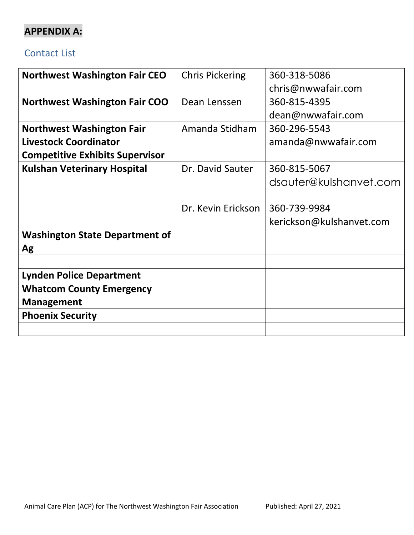# <span id="page-31-0"></span>**APPENDIX A:**

## Contact List

| <b>Chris Pickering</b> | 360-318-5086             |
|------------------------|--------------------------|
|                        | chris@nwwafair.com       |
| Dean Lenssen           | 360-815-4395             |
|                        | dean@nwwafair.com        |
| Amanda Stidham         | 360-296-5543             |
|                        | amanda@nwwafair.com      |
|                        |                          |
| Dr. David Sauter       | 360-815-5067             |
|                        | dsauter@kulshanvet.com   |
|                        |                          |
| Dr. Kevin Erickson     | 360-739-9984             |
|                        | kerickson@kulshanvet.com |
|                        |                          |
|                        |                          |
|                        |                          |
|                        |                          |
|                        |                          |
|                        |                          |
|                        |                          |
|                        |                          |
|                        |                          |